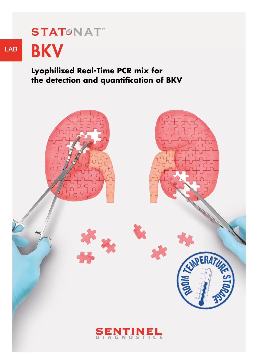# **STATØNAT®** LAB BKV

# **Lyophilized Real-Time PCR mix for the detection and quantification of BKV**